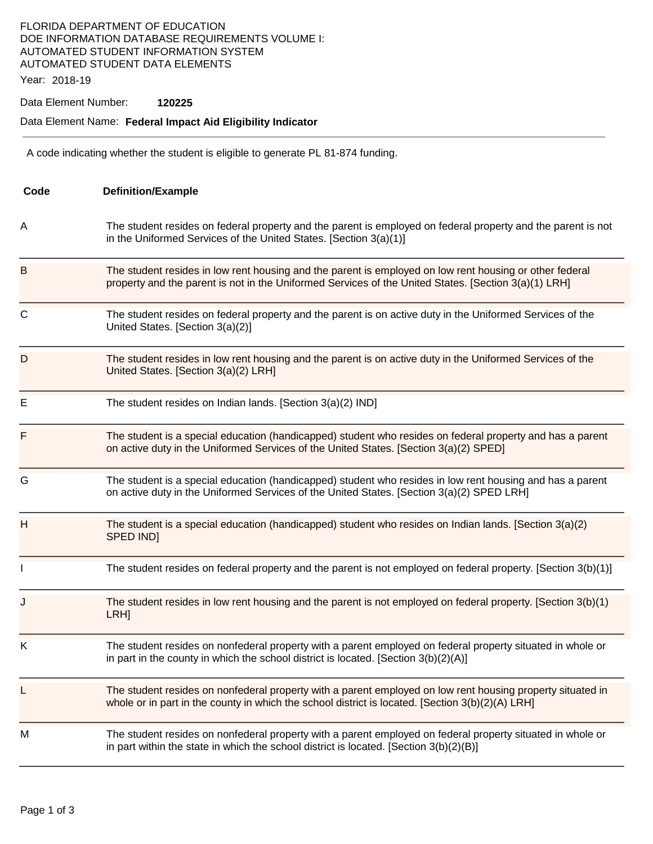## FLORIDA DEPARTMENT OF EDUCATION DOE INFORMATION DATABASE REQUIREMENTS VOLUME I: AUTOMATED STUDENT INFORMATION SYSTEM AUTOMATED STUDENT DATA ELEMENTS

Year: 2018-19

## Data Element Number: **120225**

## Data Element Name: **Federal Impact Aid Eligibility Indicator**

A code indicating whether the student is eligible to generate PL 81-874 funding.

| Code        | <b>Definition/Example</b>                                                                                                                                                                                       |  |
|-------------|-----------------------------------------------------------------------------------------------------------------------------------------------------------------------------------------------------------------|--|
| A           | The student resides on federal property and the parent is employed on federal property and the parent is not<br>in the Uniformed Services of the United States. [Section 3(a)(1)]                               |  |
| B           | The student resides in low rent housing and the parent is employed on low rent housing or other federal<br>property and the parent is not in the Uniformed Services of the United States. [Section 3(a)(1) LRH] |  |
| $\mathsf C$ | The student resides on federal property and the parent is on active duty in the Uniformed Services of the<br>United States. [Section 3(a)(2)]                                                                   |  |
| D           | The student resides in low rent housing and the parent is on active duty in the Uniformed Services of the<br>United States. [Section 3(a)(2) LRH]                                                               |  |
| Е           | The student resides on Indian lands. [Section 3(a)(2) IND]                                                                                                                                                      |  |
| F           | The student is a special education (handicapped) student who resides on federal property and has a parent<br>on active duty in the Uniformed Services of the United States. [Section 3(a)(2) SPED]              |  |
| G           | The student is a special education (handicapped) student who resides in low rent housing and has a parent<br>on active duty in the Uniformed Services of the United States. [Section 3(a)(2) SPED LRH]          |  |
| Η           | The student is a special education (handicapped) student who resides on Indian lands. [Section $3(a)(2)$<br>SPED IND]                                                                                           |  |
|             | The student resides on federal property and the parent is not employed on federal property. [Section 3(b)(1)]                                                                                                   |  |
| J           | The student resides in low rent housing and the parent is not employed on federal property. [Section $3(b)(1)$<br>LRH <sub>]</sub>                                                                              |  |
| Κ           | The student resides on nonfederal property with a parent employed on federal property situated in whole or<br>in part in the county in which the school district is located. [Section 3(b)(2)(A)]               |  |
| L           | The student resides on nonfederal property with a parent employed on low rent housing property situated in<br>whole or in part in the county in which the school district is located. [Section 3(b)(2)(A) LRH]  |  |
| M           | The student resides on nonfederal property with a parent employed on federal property situated in whole or<br>in part within the state in which the school district is located. [Section 3(b)(2)(B)]            |  |